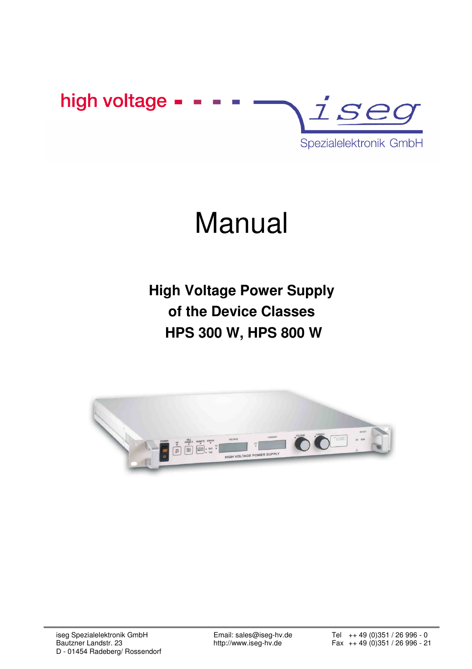

# Manual

**High Voltage Power Supply of the Device Classes HPS 300 W, HPS 800 W** 

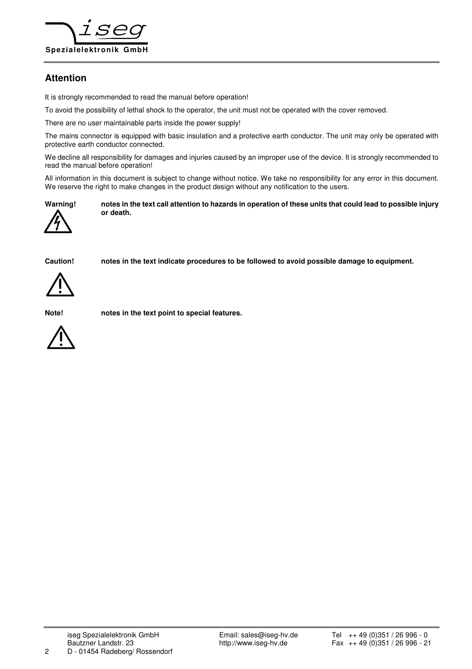

# **Attention**

It is strongly recommended to read the manual before operation!

To avoid the possibility of lethal shock to the operator, the unit must not be operated with the cover removed.

There are no user maintainable parts inside the power supply!

The mains connector is equipped with basic insulation and a protective earth conductor. The unit may only be operated with protective earth conductor connected.

We decline all responsibility for damages and injuries caused by an improper use of the device. It is strongly recommended to read the manual before operation!

All information in this document is subject to change without notice. We take no responsibility for any error in this document. We reserve the right to make changes in the product design without any notification to the users.



**Warning! notes in the text call attention to hazards in operation of these units that could lead to possible injury or death.** 

**Caution! notes in the text indicate procedures to be followed to avoid possible damage to equipment.** 

**Note! notes in the text point to special features.** 

iseg Spezialelektronik GmbH Email: sales@iseg-hv.de Tel ++ 49 (0)351 / 26 996 - 0<br>Bautzner Landstr. 23 http://www.iseg-hv.de Fax ++ 49 (0)351 / 26 996 - 2 2 D - 01454 Radeberg/ Rossendorf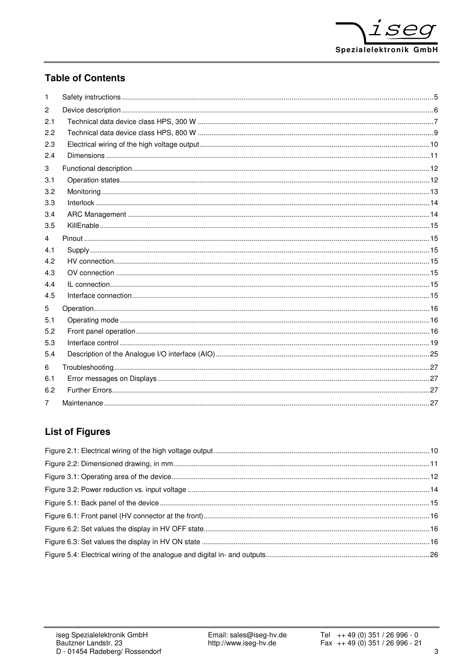# **Table of Contents**

| 1              |  |
|----------------|--|
| $\overline{2}$ |  |
| 2.1            |  |
| 2.2            |  |
| 2.3            |  |
| 2.4            |  |
| 3              |  |
| 3.1            |  |
| 3.2            |  |
| 3.3            |  |
| 3.4            |  |
| 3.5            |  |
| 4              |  |
| 4.1            |  |
| 4.2            |  |
| 4.3            |  |
| 4.4            |  |
| 4.5            |  |
| 5              |  |
| 5.1            |  |
| 5.2            |  |
| 5.3            |  |
| 5.4            |  |
| 6              |  |
| 6.1            |  |
| 6.2            |  |
| 7              |  |

# **List of Figures**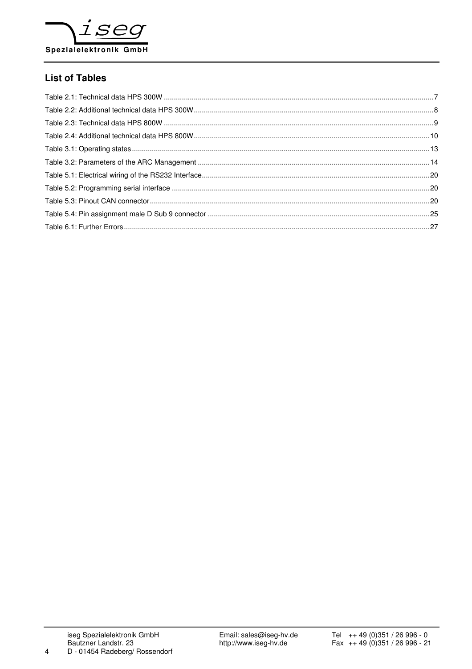

# **List of Tables**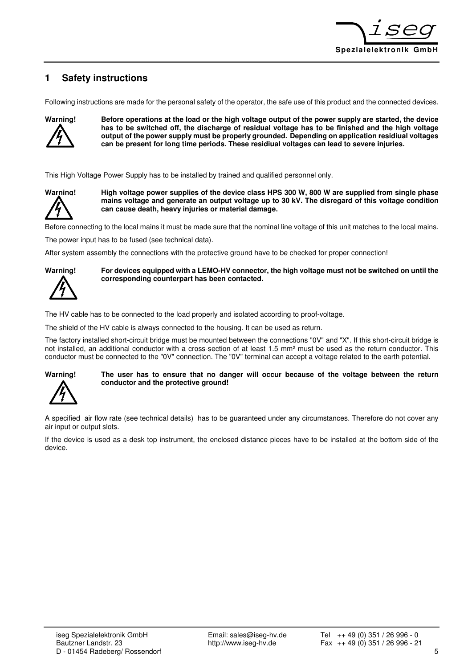

# **1 Safety instructions**

Following instructions are made for the personal safety of the operator, the safe use of this product and the connected devices.



**Warning! Before operations at the load or the high voltage output of the power supply are started, the device has to be switched off, the discharge of residual voltage has to be finished and the high voltage output of the power supply must be properly grounded. Depending on application residiual voltages can be present for long time periods. These residiual voltages can lead to severe injuries.**

This High Voltage Power Supply has to be installed by trained and qualified personnel only.



**Warning! High voltage power supplies of the device class HPS 300 W, 800 W are supplied from single phase mains voltage and generate an output voltage up to 30 kV. The disregard of this voltage condition can cause death, heavy injuries or material damage.**

Before connecting to the local mains it must be made sure that the nominal line voltage of this unit matches to the local mains.

The power input has to be fused (see technical data).

After system assembly the connections with the protective ground have to be checked for proper connection!



**Warning! For devices equipped with a LEMO-HV connector, the high voltage must not be switched on until the corresponding counterpart has been contacted.** 

The HV cable has to be connected to the load properly and isolated according to proof-voltage.

The shield of the HV cable is always connected to the housing. It can be used as return.

The factory installed short-circuit bridge must be mounted between the connections "0V" and "X". If this short-circuit bridge is not installed, an additional conductor with a cross-section of at least 1.5 mm² must be used as the return conductor. This conductor must be connected to the "0V" connection. The "0V" terminal can accept a voltage related to the earth potential.



#### **Warning! The user has to ensure that no danger will occur because of the voltage between the return conductor and the protective ground!**

A specified air flow rate (see technical details) has to be guaranteed under any circumstances. Therefore do not cover any air input or output slots.

If the device is used as a desk top instrument, the enclosed distance pieces have to be installed at the bottom side of the device.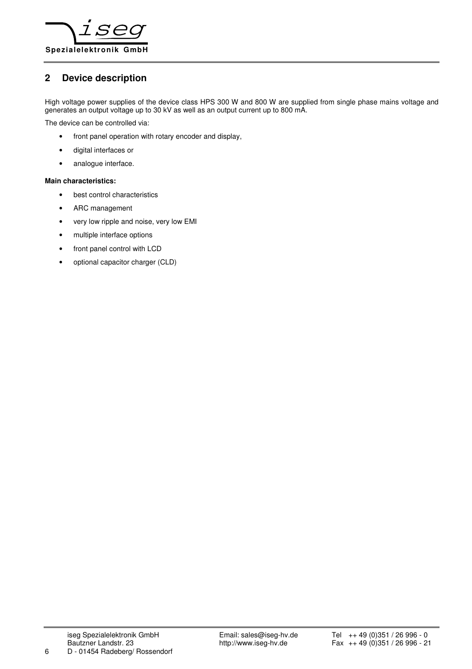

# **2 Device description**

High voltage power supplies of the device class HPS 300 W and 800 W are supplied from single phase mains voltage and generates an output voltage up to 30 kV as well as an output current up to 800 mA.

The device can be controlled via:

- front panel operation with rotary encoder and display,
- digital interfaces or
- analogue interface.

#### **Main characteristics:**

- best control characteristics
- ARC management
- very low ripple and noise, very low EMI
- multiple interface options
- front panel control with LCD
- optional capacitor charger (CLD)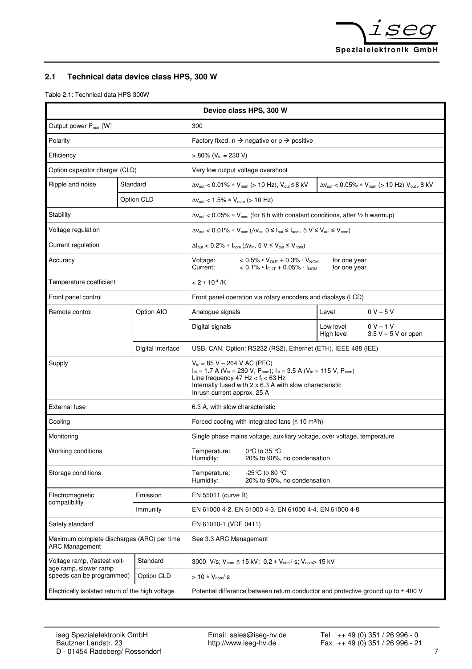

# **2.1 Technical data device class HPS, 300 W**

Table 2.1: Technical data HPS 300W

| Device class HPS, 300 W                                             |  |                                                                                                                                                                                                                                                                                        |                                                                                                           |                                                                                                                                                                                   |                              |                                                                                      |
|---------------------------------------------------------------------|--|----------------------------------------------------------------------------------------------------------------------------------------------------------------------------------------------------------------------------------------------------------------------------------------|-----------------------------------------------------------------------------------------------------------|-----------------------------------------------------------------------------------------------------------------------------------------------------------------------------------|------------------------------|--------------------------------------------------------------------------------------|
| Output power P <sub>nom</sub> [W]                                   |  |                                                                                                                                                                                                                                                                                        | 300                                                                                                       |                                                                                                                                                                                   |                              |                                                                                      |
| Polarity                                                            |  |                                                                                                                                                                                                                                                                                        | Factory fixed, $n \rightarrow$ negative or $p \rightarrow$ positive                                       |                                                                                                                                                                                   |                              |                                                                                      |
| Efficiency                                                          |  |                                                                                                                                                                                                                                                                                        | $> 80\%$ (V <sub>in</sub> = 230 V)                                                                        |                                                                                                                                                                                   |                              |                                                                                      |
| Option capacitor charger (CLD)                                      |  |                                                                                                                                                                                                                                                                                        | Very low output voltage overshoot                                                                         |                                                                                                                                                                                   |                              |                                                                                      |
| Ripple and noise                                                    |  | Standard                                                                                                                                                                                                                                                                               |                                                                                                           | $\Delta V_{\text{out}}$ < 0.01% * $V_{\text{nom}}$ (> 10 Hz), $V_{\text{out}}$ ≤ 8 kV                                                                                             |                              | $\Delta V_{\text{out}}$ < 0.05% * $V_{\text{nom}}$ (> 10 Hz) $V_{\text{out}}$ s 8 kV |
|                                                                     |  | Option CLD                                                                                                                                                                                                                                                                             | $\Delta v_{\text{out}}$ < 1.5% * $V_{\text{nom}}$ (> 10 Hz)                                               |                                                                                                                                                                                   |                              |                                                                                      |
| Stability                                                           |  |                                                                                                                                                                                                                                                                                        | $\Delta v_{\text{out}}$ < 0.05% * V <sub>nom</sub> (for 8 h with constant conditions, after 1/2 h warmup) |                                                                                                                                                                                   |                              |                                                                                      |
| Voltage regulation                                                  |  |                                                                                                                                                                                                                                                                                        |                                                                                                           | $\Delta V_{\text{out}}$ < 0.01% * $V_{\text{nom}}$ ( $\Delta V_{\text{in}}$ , 0 $\leq$ $I_{\text{out}}$ $\leq$ $I_{\text{nom}}$ , 5 $V \leq V_{\text{out}} \leq V_{\text{nom}}$ ) |                              |                                                                                      |
| Current regulation                                                  |  |                                                                                                                                                                                                                                                                                        |                                                                                                           | $\Delta I_{\text{out}}$ < 0.2% * $I_{\text{nom}}$ ( $\Delta V_{\text{in}}$ , 5 V $\leq$ $V_{\text{out}}$ $\leq$ $V_{\text{nom}}$ )                                                |                              |                                                                                      |
| Accuracy                                                            |  |                                                                                                                                                                                                                                                                                        | Voltage:<br>Current:                                                                                      | $< 0.5\% \cdot V_{\text{OUT}} + 0.3\% \cdot V_{\text{NOM}}$<br>$< 0.1\% \cdot I_{\text{OUT}} + 0.05\% \cdot I_{\text{NOM}}$                                                       | for one year<br>for one year |                                                                                      |
| Temperature coefficient                                             |  |                                                                                                                                                                                                                                                                                        | $< 2 * 10^{-4} / K$                                                                                       |                                                                                                                                                                                   |                              |                                                                                      |
| Front panel control                                                 |  |                                                                                                                                                                                                                                                                                        |                                                                                                           | Front panel operation via rotary encoders and displays (LCD)                                                                                                                      |                              |                                                                                      |
| Remote control                                                      |  | Option AIO                                                                                                                                                                                                                                                                             | Analogue signals                                                                                          |                                                                                                                                                                                   | Level                        | $0 V - 5 V$                                                                          |
|                                                                     |  |                                                                                                                                                                                                                                                                                        | Digital signals                                                                                           |                                                                                                                                                                                   | Low level<br>High level      | $0 V - 1 V$<br>$3.5 V - 5 V$ or open                                                 |
|                                                                     |  | Digital interface                                                                                                                                                                                                                                                                      |                                                                                                           | USB, CAN, Option: RS232 (RS2), Ethernet (ETH), IEEE 488 (IEE)                                                                                                                     |                              |                                                                                      |
| Supply                                                              |  | $V_{in}$ = 85 V – 264 V AC (PFC)<br>$I_{in}$ = 1.7 A ( $V_{in}$ = 230 V, $P_{nom}$ ); $I_{in}$ = 3.5 A ( $V_{in}$ = 115 V, $P_{nom}$ )<br>Line frequency 47 Hz $<$ f <sub>1</sub> $<$ 63 Hz<br>Internally fused with 2 x 6.3 A with slow characteristic<br>Inrush current approx. 25 A |                                                                                                           |                                                                                                                                                                                   |                              |                                                                                      |
| <b>External fuse</b>                                                |  |                                                                                                                                                                                                                                                                                        | 6.3 A, with slow characteristic                                                                           |                                                                                                                                                                                   |                              |                                                                                      |
| Cooling                                                             |  |                                                                                                                                                                                                                                                                                        |                                                                                                           | Forced cooling with integrated fans $( \leq 10 \text{ m}^3/\text{h})$                                                                                                             |                              |                                                                                      |
| Monitoring                                                          |  |                                                                                                                                                                                                                                                                                        |                                                                                                           | Single phase mains voltage, auxiliary voltage, over voltage, temperature                                                                                                          |                              |                                                                                      |
| Working conditions                                                  |  | Temperature:<br>Humidity:                                                                                                                                                                                                                                                              | 0 °C to 35 $\degree$ C<br>20% to 90%, no condensation                                                     |                                                                                                                                                                                   |                              |                                                                                      |
| Storage conditions                                                  |  | -25 ℃ to 80 ℃<br>Temperature:<br>Humidity:<br>20% to 90%, no condensation                                                                                                                                                                                                              |                                                                                                           |                                                                                                                                                                                   |                              |                                                                                      |
| Electromagnetic<br>compatibility                                    |  | Emission                                                                                                                                                                                                                                                                               | EN 55011 (curve B)                                                                                        |                                                                                                                                                                                   |                              |                                                                                      |
|                                                                     |  | Immunity                                                                                                                                                                                                                                                                               | EN 61000 4-2, EN 61000 4-3, EN 61000 4-4, EN 61000 4-8                                                    |                                                                                                                                                                                   |                              |                                                                                      |
| Safety standard                                                     |  |                                                                                                                                                                                                                                                                                        | EN 61010-1 (VDE 0411)                                                                                     |                                                                                                                                                                                   |                              |                                                                                      |
| Maximum complete discharges (ARC) per time<br><b>ARC Management</b> |  | See 3.3 ARC Management                                                                                                                                                                                                                                                                 |                                                                                                           |                                                                                                                                                                                   |                              |                                                                                      |
| Voltage ramp, (fastest volt-                                        |  | Standard                                                                                                                                                                                                                                                                               |                                                                                                           | 3000 V/s; $V_{nom} \le 15$ kV; 0.2 * $V_{nom}$ /s; $V_{nom} > 15$ kV                                                                                                              |                              |                                                                                      |
| age ramp, slower ramp<br>speeds can be programmed)                  |  | Option CLD                                                                                                                                                                                                                                                                             | $> 10 * V_{\text{nom}}/s$                                                                                 |                                                                                                                                                                                   |                              |                                                                                      |
| Electrically isolated return of the high voltage                    |  | Potential difference between return conductor and protective ground up to ± 400 V                                                                                                                                                                                                      |                                                                                                           |                                                                                                                                                                                   |                              |                                                                                      |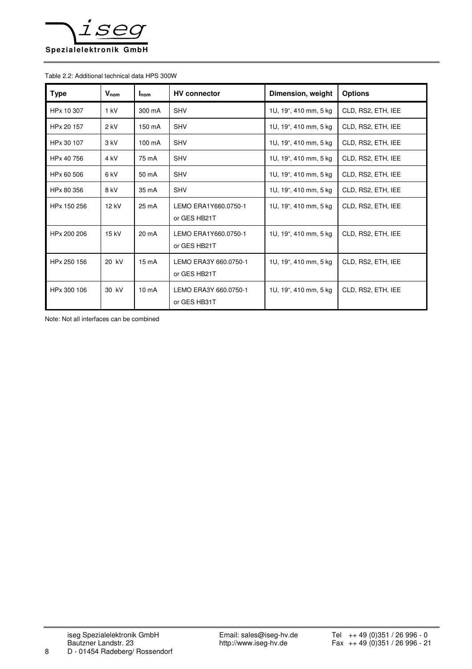

#### Table 2.2: Additional technical data HPS 300W

| <b>Type</b> | $V_{nom}$       | $_{\mathsf{hom}}$ | <b>HV</b> connector                   | Dimension, weight     | <b>Options</b>     |
|-------------|-----------------|-------------------|---------------------------------------|-----------------------|--------------------|
| HPx 10 307  | 1 kV            | 300 mA            | <b>SHV</b>                            | 1U, 19", 410 mm, 5 kg | CLD, RS2, ETH, IEE |
| HPx 20 157  | $2$ kV          | 150 mA            | <b>SHV</b>                            | 1U, 19", 410 mm, 5 kg | CLD, RS2, ETH, IEE |
| HPx 30 107  | 3 kV            | $100 \text{ mA}$  | <b>SHV</b>                            | 1U, 19", 410 mm, 5 kg | CLD, RS2, ETH, IEE |
| HPx 40 756  | 4 <sub>kV</sub> | 75 mA             | <b>SHV</b>                            | 1U, 19", 410 mm, 5 kg | CLD, RS2, ETH, IEE |
| HPx 60 506  | 6 kV            | 50 mA             | <b>SHV</b>                            | 1U, 19", 410 mm, 5 kg | CLD, RS2, ETH, IEE |
| HPx 80 356  | 8 kV            | 35 mA             | <b>SHV</b>                            | 1U, 19", 410 mm, 5 kg | CLD, RS2, ETH, IEE |
| HPx 150 256 | 12 kV           | 25 mA             | LEMO ERA1Y660.0750-1<br>or GES HB21T  | 1U, 19", 410 mm, 5 kg | CLD, RS2, ETH, IEE |
| HPx 200 206 | 15 kV           | $20 \text{ mA}$   | LEMO ERA1Y660.0750-1<br>or GES HB21T  | 1U, 19", 410 mm, 5 kg | CLD, RS2, ETH, IEE |
| HPx 250 156 | 20 kV           | $15 \text{ mA}$   | LEMO ERA3Y 660.0750-1<br>or GES HB21T | 1U, 19", 410 mm, 5 kg | CLD, RS2, ETH, IEE |
| HPx 300 106 | 30 kV           | 10 <sub>m</sub> A | LEMO ERA3Y 660.0750-1<br>or GES HB31T | 1U, 19", 410 mm, 5 kg | CLD, RS2, ETH, IEE |

Note: Not all interfaces can be combined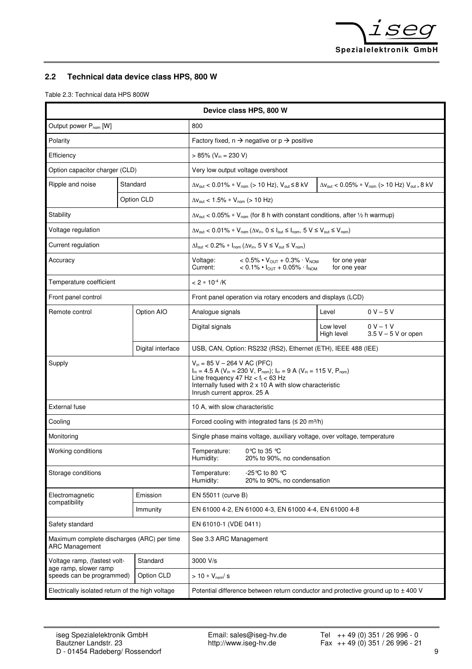

# **2.2 Technical data device class HPS, 800 W**

Table 2.3: Technical data HPS 800W

| Device class HPS, 800 W                                             |  |                                                                                                                                                                                                                                                                                                               |                                                                                                                                                                                   |                                                                                                                                    |                              |                                                                                      |
|---------------------------------------------------------------------|--|---------------------------------------------------------------------------------------------------------------------------------------------------------------------------------------------------------------------------------------------------------------------------------------------------------------|-----------------------------------------------------------------------------------------------------------------------------------------------------------------------------------|------------------------------------------------------------------------------------------------------------------------------------|------------------------------|--------------------------------------------------------------------------------------|
| Output power P <sub>nom</sub> [W]                                   |  |                                                                                                                                                                                                                                                                                                               | 800                                                                                                                                                                               |                                                                                                                                    |                              |                                                                                      |
| Polarity                                                            |  |                                                                                                                                                                                                                                                                                                               | Factory fixed, $n \rightarrow$ negative or $p \rightarrow$ positive                                                                                                               |                                                                                                                                    |                              |                                                                                      |
| Efficiency                                                          |  |                                                                                                                                                                                                                                                                                                               | $> 85\%$ (V <sub>in</sub> = 230 V)                                                                                                                                                |                                                                                                                                    |                              |                                                                                      |
| Option capacitor charger (CLD)                                      |  |                                                                                                                                                                                                                                                                                                               | Very low output voltage overshoot                                                                                                                                                 |                                                                                                                                    |                              |                                                                                      |
| Ripple and noise                                                    |  | Standard                                                                                                                                                                                                                                                                                                      |                                                                                                                                                                                   | $\Delta V_{\text{out}}$ < 0.01% * $V_{\text{nom}}$ (> 10 Hz), $V_{\text{out}}$ ≤ 8 kV                                              |                              | $\Delta V_{\text{out}}$ < 0.05% * $V_{\text{nom}}$ (> 10 Hz) $V_{\text{out}}$ s 8 kV |
|                                                                     |  | Option CLD                                                                                                                                                                                                                                                                                                    | $\Delta v_{\text{out}}$ < 1.5% * $V_{\text{nom}}$ (> 10 Hz)                                                                                                                       |                                                                                                                                    |                              |                                                                                      |
| Stability                                                           |  |                                                                                                                                                                                                                                                                                                               |                                                                                                                                                                                   | $\Delta v_{\text{out}}$ < 0.05% * V <sub>nom</sub> (for 8 h with constant conditions, after 1/2 h warmup)                          |                              |                                                                                      |
| Voltage regulation                                                  |  |                                                                                                                                                                                                                                                                                                               | $\Delta V_{\text{out}}$ < 0.01% * $V_{\text{nom}}$ ( $\Delta V_{\text{in}}$ , 0 $\leq$ $I_{\text{out}}$ $\leq$ $I_{\text{nom}}$ , 5 $V \leq V_{\text{out}} \leq V_{\text{nom}}$ ) |                                                                                                                                    |                              |                                                                                      |
| Current regulation                                                  |  |                                                                                                                                                                                                                                                                                                               |                                                                                                                                                                                   | $\Delta I_{\text{out}}$ < 0.2% * $I_{\text{nom}}$ ( $\Delta V_{\text{in}}$ , 5 V $\leq$ $V_{\text{out}}$ $\leq$ $V_{\text{nom}}$ ) |                              |                                                                                      |
| Accuracy                                                            |  |                                                                                                                                                                                                                                                                                                               | Voltage:<br>Current:                                                                                                                                                              | $< 0.5\% \cdot V_{\text{OUT}} + 0.3\% \cdot V_{\text{NOM}}$<br>$< 0.1\% \cdot I_{\text{OUT}} + 0.05\% \cdot I_{\text{NOM}}$        | for one year<br>for one year |                                                                                      |
| Temperature coefficient                                             |  |                                                                                                                                                                                                                                                                                                               | $< 2 * 10^{-4} / K$                                                                                                                                                               |                                                                                                                                    |                              |                                                                                      |
| Front panel control                                                 |  |                                                                                                                                                                                                                                                                                                               |                                                                                                                                                                                   | Front panel operation via rotary encoders and displays (LCD)                                                                       |                              |                                                                                      |
| Remote control                                                      |  | Option AIO                                                                                                                                                                                                                                                                                                    | Analogue signals                                                                                                                                                                  |                                                                                                                                    | Level                        | $0 V - 5 V$                                                                          |
|                                                                     |  |                                                                                                                                                                                                                                                                                                               | Digital signals                                                                                                                                                                   |                                                                                                                                    | Low level<br>High level      | $0 V - 1 V$<br>$3.5 V - 5 V$ or open                                                 |
|                                                                     |  | Digital interface                                                                                                                                                                                                                                                                                             |                                                                                                                                                                                   | USB, CAN, Option: RS232 (RS2), Ethernet (ETH), IEEE 488 (IEE)                                                                      |                              |                                                                                      |
| Supply                                                              |  | $V_{in}$ = 85 V – 264 V AC (PFC)<br>$I_{in}$ = 4.5 A (V <sub>in</sub> = 230 V, P <sub>nom</sub> ); $I_{in}$ = 9 A (V <sub>in</sub> = 115 V, P <sub>nom</sub> )<br>Line frequency 47 Hz $<$ f <sub>1</sub> $<$ 63 Hz<br>Internally fused with 2 x 10 A with slow characteristic<br>Inrush current approx. 25 A |                                                                                                                                                                                   |                                                                                                                                    |                              |                                                                                      |
| <b>External fuse</b>                                                |  |                                                                                                                                                                                                                                                                                                               | 10 A, with slow characteristic                                                                                                                                                    |                                                                                                                                    |                              |                                                                                      |
| Cooling                                                             |  |                                                                                                                                                                                                                                                                                                               |                                                                                                                                                                                   | Forced cooling with integrated fans $( \leq 20 \text{ m}^3/\text{h})$                                                              |                              |                                                                                      |
| Monitoring                                                          |  |                                                                                                                                                                                                                                                                                                               |                                                                                                                                                                                   | Single phase mains voltage, auxiliary voltage, over voltage, temperature                                                           |                              |                                                                                      |
| Working conditions                                                  |  | Temperature:<br>Humidity:                                                                                                                                                                                                                                                                                     | 0 °C to 35 $\degree$ C<br>20% to 90%, no condensation                                                                                                                             |                                                                                                                                    |                              |                                                                                      |
| Storage conditions                                                  |  | -25 °C to 80 °C<br>Temperature:<br>Humidity:<br>20% to 90%, no condensation                                                                                                                                                                                                                                   |                                                                                                                                                                                   |                                                                                                                                    |                              |                                                                                      |
| Electromagnetic<br>compatibility                                    |  | Emission                                                                                                                                                                                                                                                                                                      | EN 55011 (curve B)                                                                                                                                                                |                                                                                                                                    |                              |                                                                                      |
|                                                                     |  | Immunity                                                                                                                                                                                                                                                                                                      | EN 61000 4-2, EN 61000 4-3, EN 61000 4-4, EN 61000 4-8                                                                                                                            |                                                                                                                                    |                              |                                                                                      |
| Safety standard                                                     |  |                                                                                                                                                                                                                                                                                                               | EN 61010-1 (VDE 0411)                                                                                                                                                             |                                                                                                                                    |                              |                                                                                      |
| Maximum complete discharges (ARC) per time<br><b>ARC Management</b> |  | See 3.3 ARC Management                                                                                                                                                                                                                                                                                        |                                                                                                                                                                                   |                                                                                                                                    |                              |                                                                                      |
| Voltage ramp, (fastest volt-<br>age ramp, slower ramp               |  | Standard                                                                                                                                                                                                                                                                                                      | 3000 V/s                                                                                                                                                                          |                                                                                                                                    |                              |                                                                                      |
| speeds can be programmed)                                           |  | Option CLD                                                                                                                                                                                                                                                                                                    | $> 10 * V_{nom}$ s                                                                                                                                                                |                                                                                                                                    |                              |                                                                                      |
| Electrically isolated return of the high voltage                    |  |                                                                                                                                                                                                                                                                                                               |                                                                                                                                                                                   | Potential difference between return conductor and protective ground up to ± 400 V                                                  |                              |                                                                                      |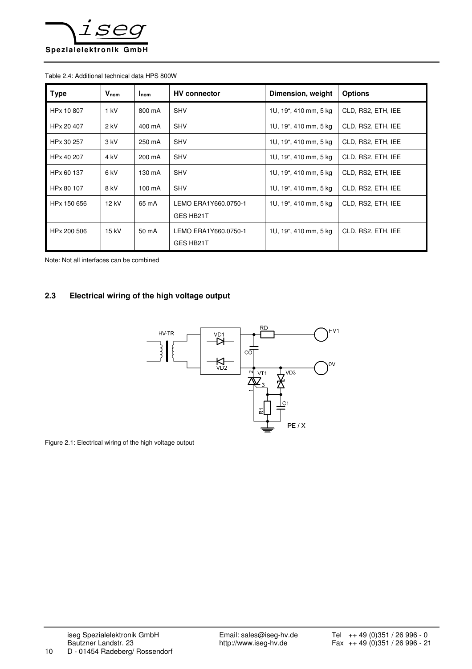

#### Table 2.4: Additional technical data HPS 800W

| <b>Type</b> | $V_{nom}$ | $_{\mathsf{Inom}}$ | <b>HV</b> connector               | Dimension, weight     | <b>Options</b>     |
|-------------|-----------|--------------------|-----------------------------------|-----------------------|--------------------|
| HPx 10 807  | 1 kV      | 800 mA             | <b>SHV</b>                        | 1U, 19", 410 mm, 5 kg | CLD, RS2, ETH, IEE |
| HPx 20 407  | $2$ kV    | 400 mA             | <b>SHV</b>                        | 1U, 19", 410 mm, 5 kg | CLD, RS2, ETH, IEE |
| HPx 30 257  | 3 kV      | 250 mA             | <b>SHV</b>                        | 1U, 19", 410 mm, 5 kg | CLD, RS2, ETH, IEE |
| HPx 40 207  | 4 kV      | 200 mA             | <b>SHV</b>                        | 1U, 19", 410 mm, 5 kg | CLD, RS2, ETH, IEE |
| HPx 60 137  | 6 kV      | 130 mA             | <b>SHV</b>                        | 1U, 19", 410 mm, 5 kg | CLD, RS2, ETH, IEE |
| HPx 80 107  | 8 kV      | 100 mA             | <b>SHV</b>                        | 1U, 19", 410 mm, 5 kg | CLD, RS2, ETH, IEE |
| HPx 150 656 | 12 kV     | 65 mA              | LEMO ERA1Y660.0750-1<br>GES HB21T | 1U, 19", 410 mm, 5 kg | CLD, RS2, ETH, IEE |
| HPx 200 506 | 15 kV     | 50 mA              | LEMO ERA1Y660.0750-1<br>GES HB21T | 1U, 19", 410 mm, 5 kg | CLD, RS2, ETH, IEE |

Note: Not all interfaces can be combined

### **2.3 Electrical wiring of the high voltage output**



Figure 2.1: Electrical wiring of the high voltage output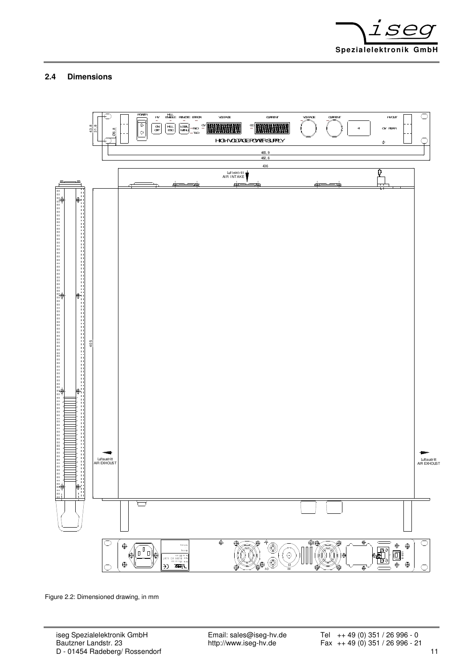

## **2.4 Dimensions**



Figure 2.2: Dimensioned drawing, in mm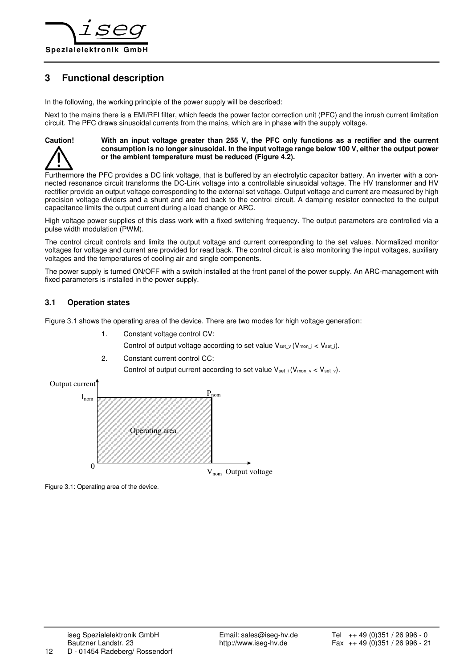

# **3 Functional description**

In the following, the working principle of the power supply will be described:

Next to the mains there is a EMI/RFI filter, which feeds the power factor correction unit (PFC) and the inrush current limitation circuit. The PFC draws sinusoidal currents from the mains, which are in phase with the supply voltage.



#### **Caution! With an input voltage greater than 255 V, the PFC only functions as a rectifier and the current consumption is no longer sinusoidal. In the input voltage range below 100 V, either the output power or the ambient temperature must be reduced (Figure 4.2).**

Furthermore the PFC provides a DC link voltage, that is buffered by an electrolytic capacitor battery. An inverter with a connected resonance circuit transforms the DC-Link voltage into a controllable sinusoidal voltage. The HV transformer and HV rectifier provide an output voltage corresponding to the external set voltage. Output voltage and current are measured by high precision voltage dividers and a shunt and are fed back to the control circuit. A damping resistor connected to the output capacitance limits the output current during a load change or ARC.

High voltage power supplies of this class work with a fixed switching frequency. The output parameters are controlled via a pulse width modulation (PWM).

The control circuit controls and limits the output voltage and current corresponding to the set values. Normalized monitor voltages for voltage and current are provided for read back. The control circuit is also monitoring the input voltages, auxiliary voltages and the temperatures of cooling air and single components.

The power supply is turned ON/OFF with a switch installed at the front panel of the power supply. An ARC-management with fixed parameters is installed in the power supply.

#### **3.1 Operation states**

Figure 3.1 shows the operating area of the device. There are two modes for high voltage generation:

- 1. Constant voltage control CV: Control of output voltage according to set value  $V_{set}$  v (V<sub>moni</sub> < V<sub>seti</sub>).
- 2. Constant current control CC:

Control of output current according to set value  $V_{set}$  i (V<sub>monv</sub> < V<sub>setv</sub>).



Figure 3.1: Operating area of the device.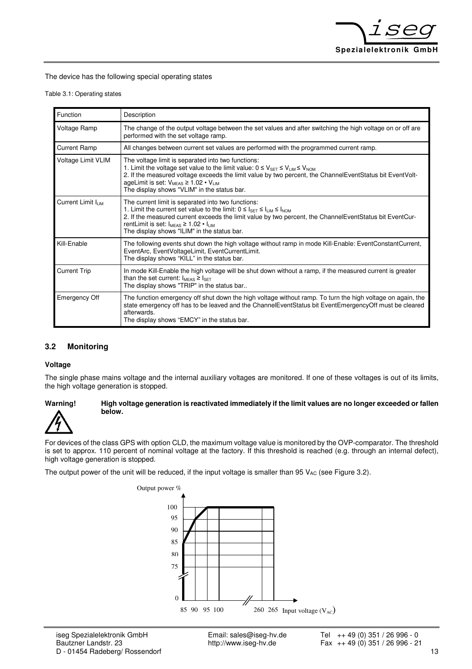

The device has the following special operating states

|  |  |  | Table 3.1: Operating states |  |
|--|--|--|-----------------------------|--|
|--|--|--|-----------------------------|--|

| Function                      | Description                                                                                                                                                                                                                                                                                                                                                                            |
|-------------------------------|----------------------------------------------------------------------------------------------------------------------------------------------------------------------------------------------------------------------------------------------------------------------------------------------------------------------------------------------------------------------------------------|
| Voltage Ramp                  | The change of the output voltage between the set values and after switching the high voltage on or off are<br>performed with the set voltage ramp.                                                                                                                                                                                                                                     |
| <b>Current Ramp</b>           | All changes between current set values are performed with the programmed current ramp.                                                                                                                                                                                                                                                                                                 |
| Voltage Limit VLIM            | The voltage limit is separated into two functions:<br>1. Limit the voltage set value to the limit value: $0 \le V_{\text{SET}} \le V_{\text{LIM}} \le V_{\text{NOM}}$<br>2. If the measured voltage exceeds the limit value by two percent, the ChannelEventStatus bit EventVolt-<br>ageLimit is set: $V_{MEAS} \ge 1.02 \cdot V_{LIM}$<br>The display shows "VLIM" in the status bar. |
| Current Limit I <sub>LM</sub> | The current limit is separated into two functions:<br>1. Limit the current set value to the limit: $0 \leq l_{\text{SET}} \leq l_{\text{LIM}} \leq l_{\text{NOM}}$<br>2. If the measured current exceeds the limit value by two percent, the ChannelEventStatus bit EventCur-<br>rentLimit is set: $I_{MFAS} \ge 1.02 \cdot I_{LIM}$<br>The display shows "ILIM" in the status bar.    |
| Kill-Enable                   | The following events shut down the high voltage without ramp in mode Kill-Enable: EventConstantCurrent,<br>EventArc, EventVoltageLimit, EventCurrentLimit.<br>The display shows "KILL" in the status bar.                                                                                                                                                                              |
| <b>Current Trip</b>           | In mode Kill-Enable the high voltage will be shut down without a ramp, if the measured current is greater<br>than the set current: $I_{MEAS} \geq I_{SET}$<br>The display shows "TRIP" in the status bar                                                                                                                                                                               |
| Emergency Off                 | The function emergency off shut down the high voltage without ramp. To turn the high voltage on again, the<br>state emergency off has to be leaved and the ChannelEventStatus bit EventEmergencyOff must be cleared<br>afterwards.<br>The display shows "EMCY" in the status bar.                                                                                                      |

#### **3.2 Monitoring**

#### **Voltage**

The single phase mains voltage and the internal auxiliary voltages are monitored. If one of these voltages is out of its limits, the high voltage generation is stopped.

#### **Warning! High voltage generation is reactivated immediately if the limit values are no longer exceeded or fallen below.**

For devices of the class GPS with option CLD, the maximum voltage value is monitored by the OVP-comparator. The threshold is set to approx. 110 percent of nominal voltage at the factory. If this threshold is reached (e.g. through an internal defect), high voltage generation is stopped.

The output power of the unit will be reduced, if the input voltage is smaller than 95  $V_{AC}$  (see Figure 3.2).

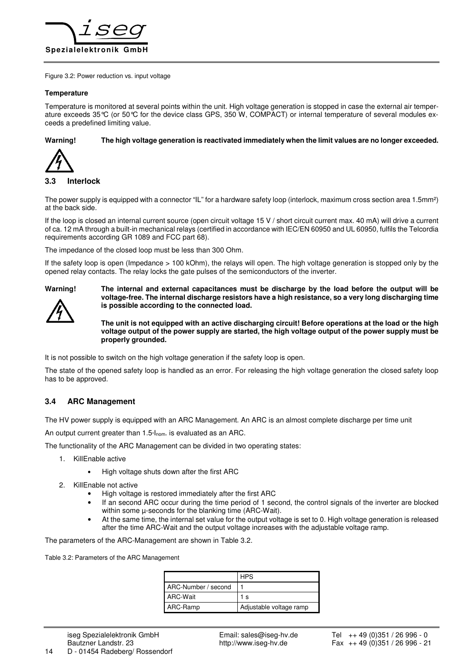

Figure 3.2: Power reduction vs. input voltage

#### **Temperature**

Temperature is monitored at several points within the unit. High voltage generation is stopped in case the external air temperature exceeds 35°C (or 50°C for the device class GPS, 350 W, COMPACT) or internal temperature of several modules exceeds a predefined limiting value.

**Warning! The high voltage generation is reactivated immediately when the limit values are no longer exceeded.** 



#### **3.3 Interlock**

The power supply is equipped with a connector "IL" for a hardware safety loop (interlock, maximum cross section area 1.5mm²) at the back side.

If the loop is closed an internal current source (open circuit voltage 15 V / short circuit current max. 40 mA) will drive a current of ca. 12 mA through a built-in mechanical relays (certified in accordance with IEC/EN 60950 and UL 60950, fulfils the Telcordia requirements according GR 1089 and FCC part 68).

The impedance of the closed loop must be less than 300 Ohm.

If the safety loop is open (Impedance > 100 kOhm), the relays will open. The high voltage generation is stopped only by the opened relay contacts. The relay locks the gate pulses of the semiconductors of the inverter.



**Warning! The internal and external capacitances must be discharge by the load before the output will be voltage-free. The internal discharge resistors have a high resistance, so a very long discharging time is possible according to the connected load.** 

> **The unit is not equipped with an active discharging circuit! Before operations at the load or the high voltage output of the power supply are started, the high voltage output of the power supply must be properly grounded.**

It is not possible to switch on the high voltage generation if the safety loop is open.

The state of the opened safety loop is handled as an error. For releasing the high voltage generation the closed safety loop has to be approved.

#### **3.4 ARC Management**

The HV power supply is equipped with an ARC Management. An ARC is an almost complete discharge per time unit

An output current greater than 1.5\*lnom. is evaluated as an ARC.

The functionality of the ARC Management can be divided in two operating states:

- 1. KillEnable active
	- High voltage shuts down after the first ARC
- 2. KillEnable not active
	- High voltage is restored immediately after the first ARC
	- If an second ARC occur during the time period of 1 second, the control signals of the inverter are blocked within some u-seconds for the blanking time (ARC-Wait).
	- At the same time, the internal set value for the output voltage is set to 0. High voltage generation is released after the time ARC-Wait and the output voltage increases with the adjustable voltage ramp.

The parameters of the ARC-Management are shown in Table 3.2.

Table 3.2: Parameters of the ARC Management

|                     | <b>HPS</b>              |
|---------------------|-------------------------|
| ARC-Number / second |                         |
| ARC-Wait            | 1 <sub>s</sub>          |
| ARC-Ramp            | Adjustable voltage ramp |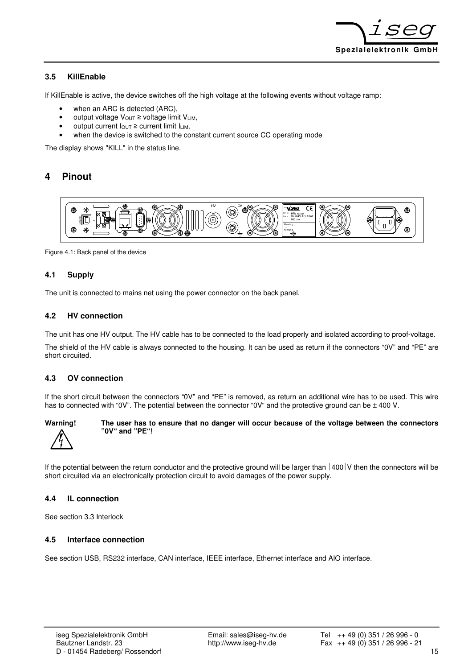

#### **3.5 KillEnable**

If KillEnable is active, the device switches off the high voltage at the following events without voltage ramp:

- when an ARC is detected (ARC),
- output voltage V<sub>OUT</sub> ≥ voltage limit V<sub>LIM</sub>,
- output current IOUT ≥ current limit ILIM,
- when the device is switched to the constant current source CC operating mode

The display shows "KILL" in the status line.

# **4 Pinout**



Figure 4.1: Back panel of the device

#### **4.1 Supply**

The unit is connected to mains net using the power connector on the back panel.

#### **4.2 HV connection**

The unit has one HV output. The HV cable has to be connected to the load properly and isolated according to proof-voltage.

The shield of the HV cable is always connected to the housing. It can be used as return if the connectors "0V" and "PE" are short circuited.

#### **4.3 OV connection**

If the short circuit between the connectors "0V" and "PE" is removed, as return an additional wire has to be used. This wire has to connected with "0V". The potential between the connector "0V" and the protective ground can be  $\pm$  400 V.



**Warning! The user has to ensure that no danger will occur because of the voltage between the connectors "0V" and "PE"!** 

If the potential between the return conductor and the protective ground will be larger than  $|400|V$  then the connectors will be short circuited via an electronically protection circuit to avoid damages of the power supply.

#### **4.4 IL connection**

See section 3.3 Interlock

#### **4.5 Interface connection**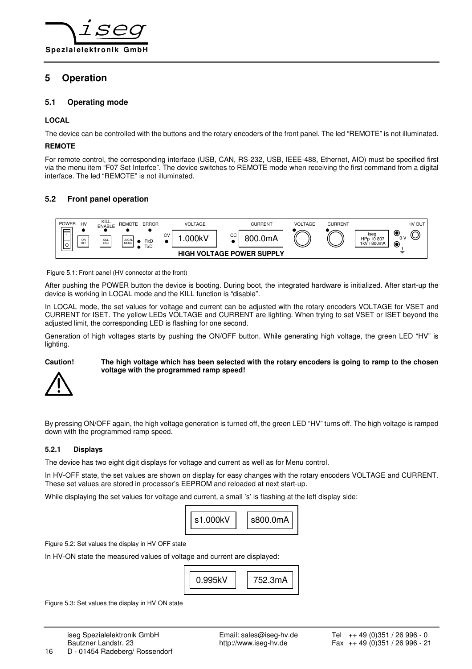

# **5 Operation**

#### **5.1 Operating mode**

#### **LOCAL**

The device can be controlled with the buttons and the rotary encoders of the front panel. The led "REMOTE" is not illuminated.

#### **REMOTE**

For remote control, the corresponding interface (USB, CAN, RS-232, USB, IEEE-488, Ethernet, AIO) must be specified first via the menu item "F07 Set Interfce". The device switches to REMOTE mode when receiving the first command from a digital interface. The led "REMOTE" is not illuminated.

#### **5.2 Front panel operation**



Figure 5.1: Front panel (HV connector at the front)

After pushing the POWER button the device is booting. During boot, the integrated hardware is initialized. After start-up the device is working in LOCAL mode and the KILL function is "disable".

In LOCAL mode, the set values for voltage and current can be adjusted with the rotary encoders VOLTAGE for VSET and CURRENT for ISET. The yellow LEDs VOLTAGE and CURRENT are lighting. When trying to set VSET or ISET beyond the adjusted limit, the corresponding LED is flashing for one second.

Generation of high voltages starts by pushing the ON/OFF button. While generating high voltage, the green LED "HV" is lighting.

#### **Caution! The high voltage which has been selected with the rotary encoders is going to ramp to the chosen voltage with the programmed ramp speed!**



By pressing ON/OFF again, the high voltage generation is turned off, the green LED "HV" turns off. The high voltage is ramped down with the programmed ramp speed.

#### **5.2.1 Displays**

The device has two eight digit displays for voltage and current as well as for Menu control.

In HV-OFF state, the set values are shown on display for easy changes with the rotary encoders VOLTAGE and CURRENT. These set values are stored in processor's EEPROM and reloaded at next start-up.

While displaying the set values for voltage and current, a small 's' is flashing at the left display side:



Figure 5.2: Set values the display in HV OFF state

In HV-ON state the measured values of voltage and current are displayed:



Figure 5.3: Set values the display in HV ON state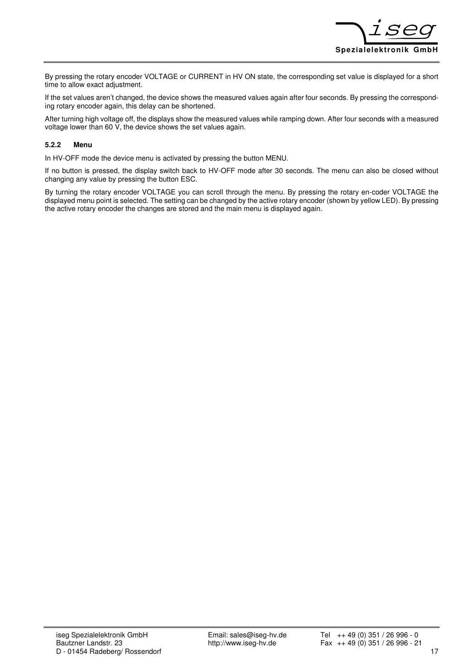

By pressing the rotary encoder VOLTAGE or CURRENT in HV ON state, the corresponding set value is displayed for a short time to allow exact adjustment.

If the set values aren't changed, the device shows the measured values again after four seconds. By pressing the corresponding rotary encoder again, this delay can be shortened.

After turning high voltage off, the displays show the measured values while ramping down. After four seconds with a measured voltage lower than 60 V, the device shows the set values again.

#### **5.2.2 Menu**

In HV-OFF mode the device menu is activated by pressing the button MENU.

If no button is pressed, the display switch back to HV-OFF mode after 30 seconds. The menu can also be closed without changing any value by pressing the button ESC.

By turning the rotary encoder VOLTAGE you can scroll through the menu. By pressing the rotary en-coder VOLTAGE the displayed menu point is selected. The setting can be changed by the active rotary encoder (shown by yellow LED). By pressing the active rotary encoder the changes are stored and the main menu is displayed again.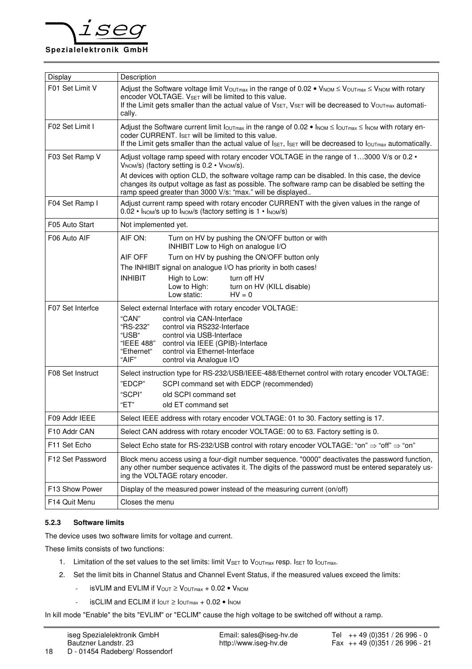

| Display          | Description                                                                                                                                                                                                                                                                                                                    |  |  |  |  |
|------------------|--------------------------------------------------------------------------------------------------------------------------------------------------------------------------------------------------------------------------------------------------------------------------------------------------------------------------------|--|--|--|--|
| F01 Set Limit V  | Adjust the Software voltage limit $V_{\text{OUTmax}}$ in the range of 0.02 • $V_{\text{NOM}} \leq V_{\text{OUTmax}} \leq V_{\text{NOM}}$ with rotary<br>encoder VOLTAGE. VSET will be limited to this value.<br>If the Limit gets smaller than the actual value of VSET, VSET will be decreased to VouTmax automati-<br>cally. |  |  |  |  |
| F02 Set Limit I  | Adjust the Software current limit $I_{\text{OUTmax}}$ in the range of 0.02 • $I_{\text{NOM}} \leq I_{\text{NOT}}$ with rotary en-<br>coder CURRENT. ISET will be limited to this value.<br>If the Limit gets smaller than the actual value of Iset, Iset will be decreased to loutmax automatically.                           |  |  |  |  |
| F03 Set Ramp V   | Adjust voltage ramp speed with rotary encoder VOLTAGE in the range of 13000 V/s or 0.2 $\cdot$<br>V <sub>NOM</sub> /s) (factory setting is 0.2 • V <sub>NOM</sub> /s).                                                                                                                                                         |  |  |  |  |
|                  | At devices with option CLD, the software voltage ramp can be disabled. In this case, the device<br>changes its output voltage as fast as possible. The software ramp can be disabled be setting the<br>ramp speed greater than 3000 V/s: "max." will be displayed                                                              |  |  |  |  |
| F04 Set Ramp I   | Adjust current ramp speed with rotary encoder CURRENT with the given values in the range of<br>0.02 • Inom/s up to Inom/s (factory setting is 1 • Inom/s)                                                                                                                                                                      |  |  |  |  |
| F05 Auto Start   | Not implemented yet.                                                                                                                                                                                                                                                                                                           |  |  |  |  |
| F06 Auto AIF     | AIF ON:<br>Turn on HV by pushing the ON/OFF button or with<br>INHIBIT Low to High on analogue I/O                                                                                                                                                                                                                              |  |  |  |  |
|                  | AIF OFF<br>Turn on HV by pushing the ON/OFF button only                                                                                                                                                                                                                                                                        |  |  |  |  |
|                  | The INHIBIT signal on analogue I/O has priority in both cases!                                                                                                                                                                                                                                                                 |  |  |  |  |
|                  | <b>INHIBIT</b><br>High to Low:<br>turn off HV<br>Low to High:<br>turn on HV (KILL disable)<br>Low static:<br>$HV = 0$                                                                                                                                                                                                          |  |  |  |  |
| F07 Set Interfce | Select external Interface with rotary encoder VOLTAGE:                                                                                                                                                                                                                                                                         |  |  |  |  |
|                  | "CAN"<br>control via CAN-Interface<br>"RS-232"<br>control via RS232-Interface<br>"USB"<br>control via USB-Interface<br>"IEEE 488"<br>control via IEEE (GPIB)-Interface<br>"Ethernet"<br>control via Ethernet-Interface<br>"AIF"<br>control via Analogue I/O                                                                    |  |  |  |  |
| F08 Set Instruct | Select instruction type for RS-232/USB/IEEE-488/Ethernet control with rotary encoder VOLTAGE:                                                                                                                                                                                                                                  |  |  |  |  |
|                  | "EDCP"<br>SCPI command set with EDCP (recommended)                                                                                                                                                                                                                                                                             |  |  |  |  |
|                  | "SCPI"<br>old SCPI command set<br>"ET"<br>old ET command set                                                                                                                                                                                                                                                                   |  |  |  |  |
| F09 Addr IEEE    | Select IEEE address with rotary encoder VOLTAGE: 01 to 30. Factory setting is 17.                                                                                                                                                                                                                                              |  |  |  |  |
| F10 Addr CAN     | Select CAN address with rotary encoder VOLTAGE: 00 to 63. Factory setting is 0.                                                                                                                                                                                                                                                |  |  |  |  |
| F11 Set Echo     | Select Echo state for RS-232/USB control with rotary encoder VOLTAGE: "on" $\Rightarrow$ "off" $\Rightarrow$ "on"                                                                                                                                                                                                              |  |  |  |  |
| F12 Set Password | Block menu access using a four-digit number sequence. "0000" deactivates the password function,<br>any other number sequence activates it. The digits of the password must be entered separately us-<br>ing the VOLTAGE rotary encoder.                                                                                        |  |  |  |  |
| F13 Show Power   | Display of the measured power instead of the measuring current (on/off)                                                                                                                                                                                                                                                        |  |  |  |  |
| F14 Quit Menu    | Closes the menu                                                                                                                                                                                                                                                                                                                |  |  |  |  |

#### **5.2.3 Software limits**

The device uses two software limits for voltage and current.

These limits consists of two functions:

- 1. Limitation of the set values to the set limits: limit VsET to VOUTmax resp. ISET to IOUTmax.
- 2. Set the limit bits in Channel Status and Channel Event Status, if the measured values exceed the limits:
	- is VLIM and EVLIM if  $V_{\text{OUT}} \geq V_{\text{OUTmax}} + 0.02 \cdot V_{\text{NOM}}$
	- $i$ sCLIM and ECLIM if  $I_{\text{OUT}} \geq I_{\text{OUTmax}} + 0.02$  Inom

In kill mode "Enable" the bits "EVLIM" or "ECLIM" cause the high voltage to be switched off without a ramp.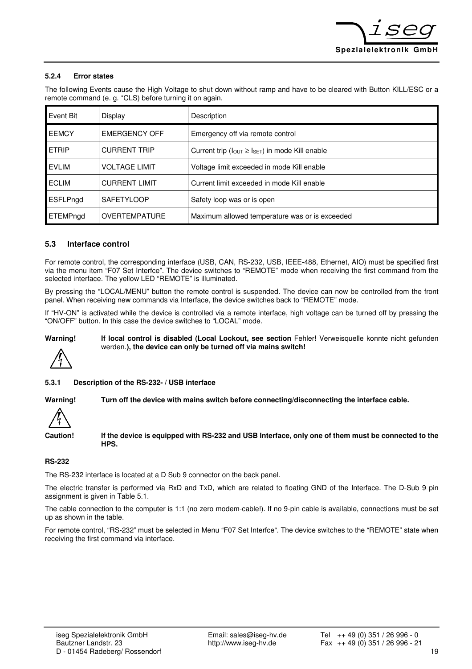#### **5.2.4 Error states**

The following Events cause the High Voltage to shut down without ramp and have to be cleared with Button KILL/ESC or a remote command (e. g. \*CLS) before turning it on again.

| Event Bit    | Display              | Description                                                               |
|--------------|----------------------|---------------------------------------------------------------------------|
| <b>EEMCY</b> | EMERGENCY OFF        | Emergency off via remote control                                          |
| <b>ETRIP</b> | <b>CURRENT TRIP</b>  | Current trip ( $I_{\text{OUT}} \geq I_{\text{SET}}$ ) in mode Kill enable |
| <b>EVLIM</b> | <b>VOLTAGE LIMIT</b> | Voltage limit exceeded in mode Kill enable                                |
| <b>ECLIM</b> | <b>CURRENT LIMIT</b> | Current limit exceeded in mode Kill enable                                |
| ESFLPngd     | <b>SAFETYLOOP</b>    | Safety loop was or is open                                                |
| ETEMPngd     | <b>OVERTEMPATURE</b> | Maximum allowed temperature was or is exceeded                            |

#### **5.3 Interface control**

For remote control, the corresponding interface (USB, CAN, RS-232, USB, IEEE-488, Ethernet, AIO) must be specified first via the menu item "F07 Set Interfce". The device switches to "REMOTE" mode when receiving the first command from the selected interface. The yellow LED "REMOTE" is illuminated.

By pressing the "LOCAL/MENU" button the remote control is suspended. The device can now be controlled from the front panel. When receiving new commands via Interface, the device switches back to "REMOTE" mode.

If "HV-ON" is activated while the device is controlled via a remote interface, high voltage can be turned off by pressing the "ON/OFF" button. In this case the device switches to "LOCAL" mode.

Warning! If local control is disabled (Local Lockout, see section Fehler! Verweisquelle konnte nicht gefunden werden.**), the device can only be turned off via mains switch!** 

**5.3.1 Description of the RS-232- / USB interface** 

**Warning! Turn off the device with mains switch before connecting/disconnecting the interface cable.** 

**Caution! If the device is equipped with RS-232 and USB Interface, only one of them must be connected to the HPS.** 

#### **RS-232**

The RS-232 interface is located at a D Sub 9 connector on the back panel.

The electric transfer is performed via RxD and TxD, which are related to floating GND of the Interface. The D-Sub 9 pin assignment is given in Table 5.1.

The cable connection to the computer is 1:1 (no zero modem-cable!). If no 9-pin cable is available, connections must be set up as shown in the table.

For remote control, "RS-232" must be selected in Menu "F07 Set Interfce". The device switches to the "REMOTE" state when receiving the first command via interface.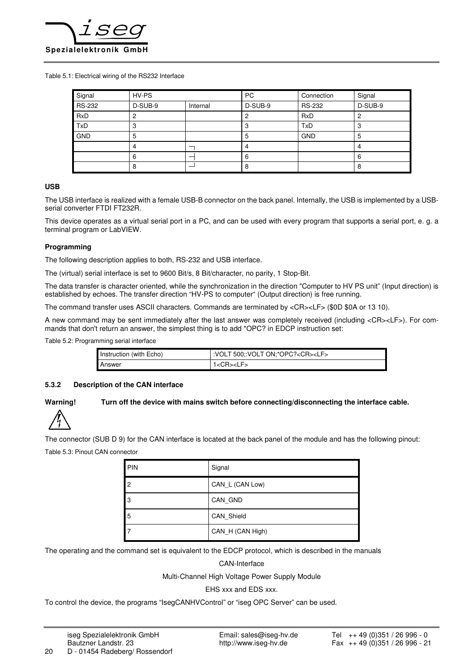

Table 5.1: Electrical wiring of the RS232 Interface

| Signal        | HV-PS   |          | <b>PC</b> | Connection    | Signal  |
|---------------|---------|----------|-----------|---------------|---------|
| <b>RS-232</b> | D-SUB-9 | Internal | D-SUB-9   | <b>RS-232</b> | D-SUB-9 |
| <b>RxD</b>    |         |          |           | <b>RxD</b>    |         |
| <b>TxD</b>    | з       |          | o         | TxD           | 3       |
| <b>GND</b>    | 5       |          | b         | <b>GND</b>    | 5       |
|               |         |          |           |               | 4       |
|               | 6       |          | 6         |               | 6       |
|               | o       |          | 8         |               | 8       |

#### **USB**

The USB interface is realized with a female USB-B connector on the back panel. Internally, the USB is implemented by a USBserial converter FTDI FT232R.

This device operates as a virtual serial port in a PC, and can be used with every program that supports a serial port, e. g. a terminal program or LabVIEW.

#### **Programming**

The following description applies to both, RS-232 and USB interface.

The (virtual) serial interface is set to 9600 Bit/s, 8 Bit/character, no parity, 1 Stop-Bit.

The data transfer is character oriented, while the synchronization in the direction "Computer to HV PS unit" (Input direction) is established by echoes. The transfer direction "HV-PS to computer" (Output direction) is free running.

The command transfer uses ASCII characters. Commands are terminated by <CR><LF> (\$0D \$0A or 13 10).

A new command may be sent immediately after the last answer was completely received (including <CR><LF>). For commands that don't return an answer, the simplest thing is to add \*OPC? in EDCP instruction set:

Table 5.2: Programming serial interface

| Instruction (with Echo) | VOLT 500;:VOLT ON;*OPC? <cr><lf></lf></cr> |
|-------------------------|--------------------------------------------|
| Answer                  | 1 <cr><lf></lf></cr>                       |

#### **5.3.2 Description of the CAN interface**

#### **Warning! Turn off the device with mains switch before connecting/disconnecting the interface cable.**



The connector (SUB D 9) for the CAN interface is located at the back panel of the module and has the following pinout: Table 5.3: Pinout CAN connector

| PIN            | Signal           |
|----------------|------------------|
| $\overline{2}$ | CAN_L (CAN Low)  |
| IЗ             | CAN GND          |
| 5              | CAN Shield       |
|                | CAN_H (CAN High) |

The operating and the command set is equivalent to the EDCP protocol, which is described in the manuals

CAN-Interface

Multi-Channel High Voltage Power Supply Module

EHS xxx and EDS xxx.

To control the device, the programs "IsegCANHVControl" or "iseg OPC Server" can be used.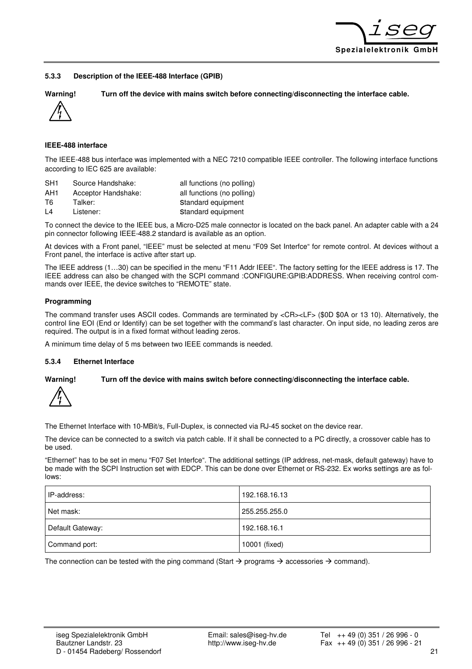

#### **5.3.3 Description of the IEEE-488 Interface (GPIB)**

**Warning! Turn off the device with mains switch before connecting/disconnecting the interface cable.** 



**IEEE-488 interface** 

The IEEE-488 bus interface was implemented with a NEC 7210 compatible IEEE controller. The following interface functions according to IEC 625 are available:

| SH <sub>1</sub> | Source Handshake:   | all functions (no polling) |
|-----------------|---------------------|----------------------------|
| AH1             | Acceptor Handshake: | all functions (no polling) |
| T6.             | Talker:             | Standard equipment         |
| $\overline{14}$ | Listener:           | Standard equipment         |

To connect the device to the IEEE bus, a Micro-D25 male connector is located on the back panel. An adapter cable with a 24 pin connector following IEEE-488.2 standard is available as an option.

At devices with a Front panel, "IEEE" must be selected at menu "F09 Set Interfce" for remote control. At devices without a Front panel, the interface is active after start up.

The IEEE address (1…30) can be specified in the menu "F11 Addr IEEE". The factory setting for the IEEE address is 17. The IEEE address can also be changed with the SCPI command :CONFIGURE:GPIB:ADDRESS. When receiving control commands over IEEE, the device switches to "REMOTE" state.

#### **Programming**

The command transfer uses ASCII codes. Commands are terminated by <CR><LF> (\$0D \$0A or 13 10). Alternatively, the control line EOI (End or Identify) can be set together with the command's last character. On input side, no leading zeros are required. The output is in a fixed format without leading zeros.

A minimum time delay of 5 ms between two IEEE commands is needed.

#### **5.3.4 Ethernet Interface**

#### **Warning! Turn off the device with mains switch before connecting/disconnecting the interface cable.**



The Ethernet Interface with 10-MBit/s, Full-Duplex, is connected via RJ-45 socket on the device rear.

The device can be connected to a switch via patch cable. If it shall be connected to a PC directly, a crossover cable has to be used.

"Ethernet" has to be set in menu "F07 Set Interfce". The additional settings (IP address, net-mask, default gateway) have to be made with the SCPI Instruction set with EDCP. This can be done over Ethernet or RS-232. Ex works settings are as follows:

| IP-address:      | 192.168.16.13 |
|------------------|---------------|
| Net mask:        | 255.255.255.0 |
| Default Gateway: | 192.168.16.1  |
| Command port:    | 10001 (fixed) |

The connection can be tested with the ping command (Start  $\rightarrow$  programs  $\rightarrow$  accessories  $\rightarrow$  command).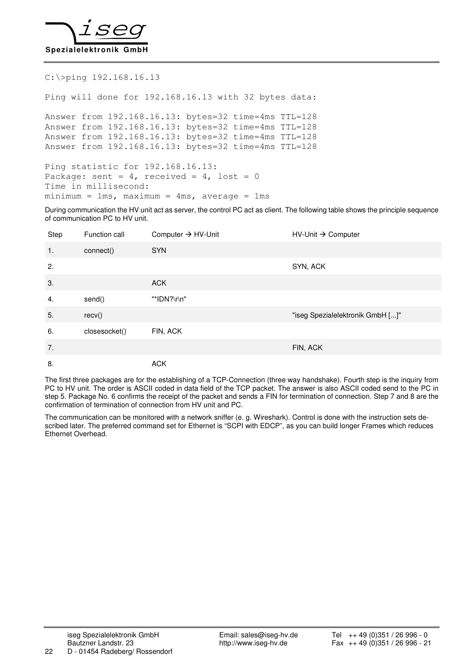

#### C:\>ping 192.168.16.13

Ping will done for 192.168.16.13 with 32 bytes data:

Answer from 192.168.16.13: bytes=32 time=4ms TTL=128 Answer from 192.168.16.13: bytes=32 time=4ms TTL=128 Answer from 192.168.16.13: bytes=32 time=4ms TTL=128 Answer from 192.168.16.13: bytes=32 time=4ms TTL=128

Ping statistic for 192.168.16.13: Package: sent =  $4$ , received =  $4$ , lost = 0 Time in millisecond:  $minimum = 1ms$ ,  $maximum = 4ms$ ,  $average = 1ms$ 

During communication the HV unit act as server, the control PC act as client. The following table shows the principle sequence of communication PC to HV unit.

| Step | Function call | Computer $\rightarrow$ HV-Unit | $HV$ -Unit $\rightarrow$ Computer |
|------|---------------|--------------------------------|-----------------------------------|
| 1.   | connect()     | <b>SYN</b>                     |                                   |
| 2.   |               |                                | SYN, ACK                          |
| 3.   |               | <b>ACK</b>                     |                                   |
| 4.   | send()        | "*IDN?\r\n"                    |                                   |
| 5.   | recv()        |                                | "iseg Spezialelektronik GmbH []"  |
| 6.   | closesocket() | FIN, ACK                       |                                   |
| 7.   |               |                                | FIN, ACK                          |
| 8.   |               | <b>ACK</b>                     |                                   |

The first three packages are for the establishing of a TCP-Connection (three way handshake). Fourth step is the inquiry from PC to HV unit. The order is ASCII coded in data field of the TCP packet. The answer is also ASCII coded send to the PC in step 5. Package No. 6 confirms the receipt of the packet and sends a FIN for termination of connection. Step 7 and 8 are the confirmation of termination of connection from HV unit and PC.

The communication can be monitored with a network sniffer (e. g. Wireshark). Control is done with the instruction sets described later. The preferred command set for Ethernet is "SCPI with EDCP", as you can build longer Frames which reduces Ethernet Overhead.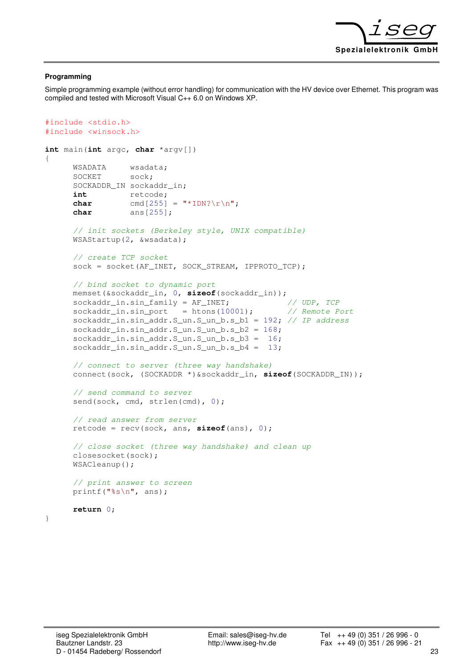

#### **Programming**

Simple programming example (without error handling) for communication with the HV device over Ethernet. This program was compiled and tested with Microsoft Visual C++ 6.0 on Windows XP.

```
#include <stdio.h> 
#include <winsock.h> 
int main(int argc, char *argv[]) 
{ 
      WSADATA wsadata; 
      SOCKET sock;
      SOCKADDR_IN sockaddr_in;
      int retcode; 
      char cmd[255] = "\star \text{IDN?}\r\n\text{n";}char ans[255]; 
      // init sockets (Berkeley style, UNIX compatible) 
      WSAStartup(2, &wsadata); 
      // create TCP socket 
      sock = socket(AF_INET, SOCK_STREAM, IPPROTO_TCP);
      // bind socket to dynamic port 
      memset(&sockaddr_in, 0, sizeof(sockaddr_in)); 
      sockaddr_in.sin_family = AF_INET; // UDP, TCP
      sockaddr_in,sin_prob = <math>htons(10001);</math> // Remote Portsockaddr_in.sin_addr.S_un.S_un_b.s_b1 = 192; // IP address 
      sockaddr_in.sin_addr.S_un.S_un_b.s_b2 = 168; 
      sockaddr_in.sin_addr.S_un.S_un_b.s_b3 = 16; 
      sockaddr_in.sin_addr.S_un.S_un_b.s_b4 = 13; 
      // connect to server (three way handshake) 
      connect(sock, (SOCKADDR *)&sockaddr_in, sizeof(SOCKADDR_IN)); 
      // send command to server 
      send(sock, cmd, strlen(cmd), 0);
      // read answer from server 
      retcode = recv(sock, ans, sizeof(ans), 0); 
      // close socket (three way handshake) and clean up 
      closesocket(sock); 
      WSACleanup(); 
      // print answer to screen 
      printf("%s\n", ans); 
      return 0;
```
}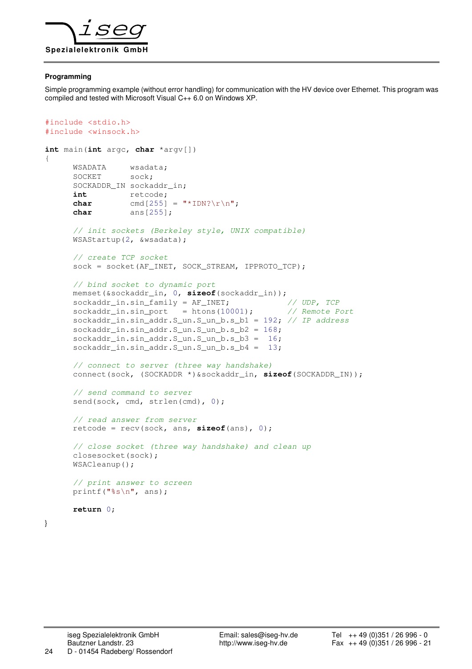

#### **Programming**

Simple programming example (without error handling) for communication with the HV device over Ethernet. This program was compiled and tested with Microsoft Visual C++ 6.0 on Windows XP.

```
#include <stdio.h> 
#include <winsock.h>
```

```
int main(int argc, char *argv[]) 
{ 
      WSADATA wsadata; 
      SOCKET sock;
      SOCKADDR_IN sockaddr_in;
      int retcode; 
      char cmd[255] = "\star \text{IDN?}\r\n\text{n";}char ans[255]; 
      // init sockets (Berkeley style, UNIX compatible) 
      WSAStartup(2, &wsadata); 
      // create TCP socket 
      sock = socket(AF_INET, SOCK_STREAM, IPPROTO_TCP);
      // bind socket to dynamic port 
      memset(&sockaddr_in, 0, sizeof(sockaddr_in)); 
      sockaddr_in.sin_family = AF_INET; // UDP, TCP
      sockaddr_in.sin_prob = <math>htons(10001);</math> // <i>Remote Port</i>sockaddr_in.sin_addr.S_un.S_un_b.s_b1 = 192; // IP address 
      sockaddr_in.sin_addr.S_un.S_un_b.s_b2 = 168; 
      sockaddr_in.sin_addr.S_un.S_un_b.s_b3 = 16; 
      sockaddr_in.sin_addr.S_un.S_un_b.s_b4 = 13; 
      // connect to server (three way handshake) 
      connect(sock, (SOCKADDR *)&sockaddr_in, sizeof(SOCKADDR_IN)); 
      // send command to server 
      send(sock, cmd, strlen(cmd), 0);
      // read answer from server 
      retcode = recv(sock, ans, sizeof(ans), 0); 
      // close socket (three way handshake) and clean up 
      closesocket(sock); 
      WSACleanup(); 
      // print answer to screen 
      printf("%s\n", ans); 
      return 0;
```
}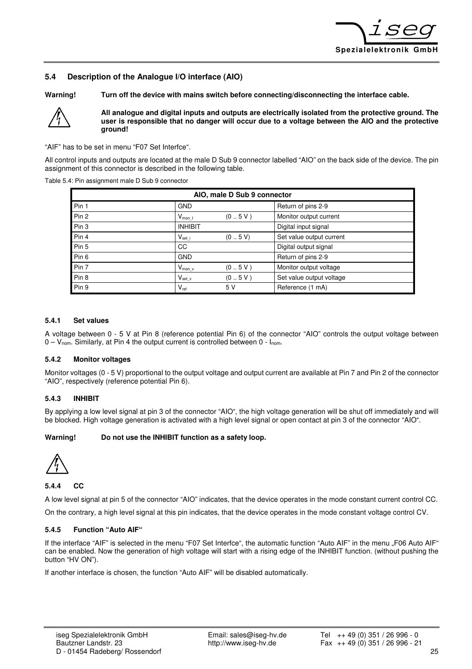

#### **5.4 Description of the Analogue I/O interface (AIO)**

**Warning! Turn off the device with mains switch before connecting/disconnecting the interface cable.** 



**All analogue and digital inputs and outputs are electrically isolated from the protective ground. The user is responsible that no danger will occur due to a voltage between the AIO and the protective ground!** 

"AIF" has to be set in menu "F07 Set Interfce".

All control inputs and outputs are located at the male D Sub 9 connector labelled "AIO" on the back side of the device. The pin assignment of this connector is described in the following table.

Table 5.4: Pin assignment male D Sub 9 connector

| AIO, male D Sub 9 connector |                    |         |                          |
|-----------------------------|--------------------|---------|--------------------------|
| Pin 1                       | <b>GND</b>         |         | Return of pins 2-9       |
| Pin 2                       | $V_{\text{mon I}}$ | (0.5V)  | Monitor output current   |
| Pin 3                       | <b>INHIBIT</b>     |         | Digital input signal     |
| Pin 4                       | $V_{set}$          | (0.5 V) | Set value output current |
| Pin 5                       | CC                 |         | Digital output signal    |
| Pin 6                       | <b>GND</b>         |         | Return of pins 2-9       |
| Pin 7                       | $V_{\text{mon_v}}$ | (0.5V)  | Monitor output voltage   |
| Pin 8                       | $V_{\text{set v}}$ | (0.5V)  | Set value output voltage |
| Pin 9                       | $V_{ref}$          | 5 V     | Reference (1 mA)         |

#### **5.4.1 Set values**

A voltage between 0 - 5 V at Pin 8 (reference potential Pin 6) of the connector "AIO" controls the output voltage between 0 – Vnom. Similarly, at Pin 4 the output current is controlled between 0 - Inom.

#### **5.4.2 Monitor voltages**

Monitor voltages (0 - 5 V) proportional to the output voltage and output current are available at Pin 7 and Pin 2 of the connector "AIO", respectively (reference potential Pin 6).

#### **5.4.3 INHIBIT**

By applying a low level signal at pin 3 of the connector "AIO", the high voltage generation will be shut off immediately and will be blocked. High voltage generation is activated with a high level signal or open contact at pin 3 of the connector "AIO".

#### **Warning! Do not use the INHIBIT function as a safety loop.**



**5.4.4 CC** 

A low level signal at pin 5 of the connector "AIO" indicates, that the device operates in the mode constant current control CC.

On the contrary, a high level signal at this pin indicates, that the device operates in the mode constant voltage control CV.

#### **5.4.5 Function "Auto AIF"**

If the interface "AIF" is selected in the menu "F07 Set Interfce", the automatic function "Auto AIF" in the menu "F06 Auto AIF" can be enabled. Now the generation of high voltage will start with a rising edge of the INHIBIT function. (without pushing the button "HV ON").

If another interface is chosen, the function "Auto AIF" will be disabled automatically.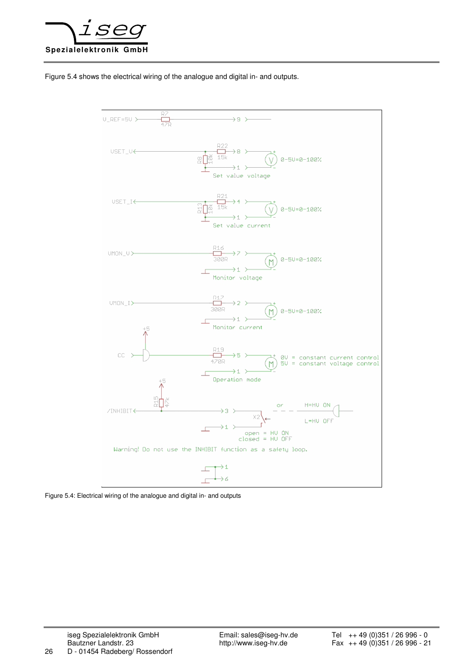

Figure 5.4 shows the electrical wiring of the analogue and digital in- and outputs.



Figure 5.4: Electrical wiring of the analogue and digital in- and outputs